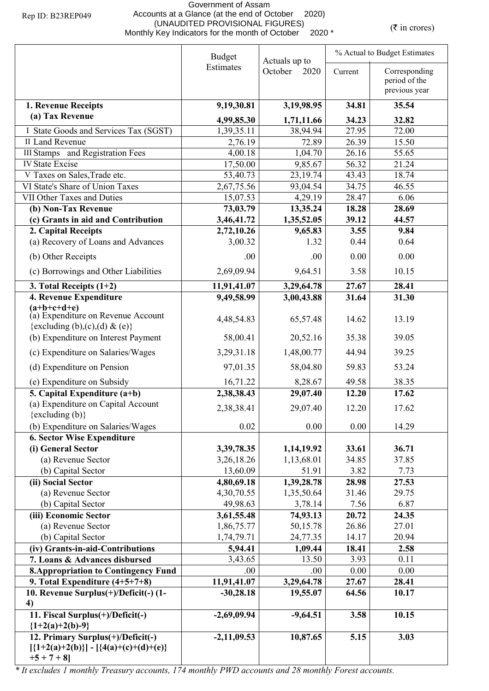## Government of Assam Accounts at a Glance (at the end of October 2020) (UNAUDITED PROVISIONAL FIGURES) (UNAUDITED PROVISIONAL FIGURES)<br>Monthly Key Indicators for the month of October 2020 \* ( $\bar{\tau}$  in crores)

|                                                                                      | <b>Budget</b> |                                  | % Actual to Budget Estimates |                                                 |  |
|--------------------------------------------------------------------------------------|---------------|----------------------------------|------------------------------|-------------------------------------------------|--|
|                                                                                      | Estimates     | Actuals up to<br>October<br>2020 | Current                      | Corresponding<br>period of the<br>previous year |  |
| 1. Revenue Receipts                                                                  | 9,19,30.81    | 3,19,98.95                       | 34.81                        | 35.54                                           |  |
| (a) Tax Revenue                                                                      | 4,99,85.30    | 1,71,11.66                       | 34.23                        | 32.82                                           |  |
| I State Goods and Services Tax (SGST)                                                | 1,39,35.11    | 38,94.94                         | 27.95                        | 72.00                                           |  |
| II Land Revenue                                                                      | 2,76.19       | 72.89                            | 26.39                        | 15.50                                           |  |
| <b>III Stamps</b> and Registration Fees                                              | 4,00.18       | 1,04.70                          | 26.16                        | 55.65                                           |  |
| <b>IV State Excise</b>                                                               | 17,50.00      | 9,85.67                          | 56.32                        | 21.24                                           |  |
| V Taxes on Sales, Trade etc.                                                         | 53,40.73      | 23, 19.74                        | 43.43                        | 18.74                                           |  |
| VI State's Share of Union Taxes                                                      | 2,67,75.56    | 93,04.54                         | 34.75                        | 46.55                                           |  |
| VII Other Taxes and Duties                                                           | 15,07.53      | 4,29.19                          | 28.47                        | 6.06                                            |  |
| (b) Non-Tax Revenue                                                                  | 73,03.79      | 13,35.24                         | 18.28                        | 28.69                                           |  |
| (c) Grants in aid and Contribution                                                   | 3,46,41.72    | 1,35,52.05                       | 39.12                        | 44.57                                           |  |
| 2. Capital Receipts                                                                  | 2,72,10.26    | 9,65.83                          | 3.55                         | 9.84                                            |  |
| (a) Recovery of Loans and Advances                                                   | 3,00.32       | 1.32                             | 0.44                         | 0.64                                            |  |
| (b) Other Receipts                                                                   | .00           | .00.                             | 0.00                         | 0.00                                            |  |
| (c) Borrowings and Other Liabilities                                                 | 2,69,09.94    | 9,64.51                          | 3.58                         | 10.15                                           |  |
| 3. Total Receipts $(1+2)$                                                            | 11,91,41.07   | 3,29,64.78                       | 27.67                        | 28.41                                           |  |
| 4. Revenue Expenditure                                                               | 9,49,58.99    | 3,00,43.88                       | 31.64                        | 31.30                                           |  |
| $(a+b+c+d+e)$<br>(a) Expenditure on Revenue Account<br>{excluding (b),(c),(d) & (e)} | 4,48,54.83    | 65,57.48                         | 14.62                        | 13.19                                           |  |
| (b) Expenditure on Interest Payment                                                  | 58,00.41      | 20,52.16                         | 35.38                        | 39.05                                           |  |
| (c) Expenditure on Salaries/Wages                                                    | 3,29,31.18    | 1,48,00.77                       | 44.94                        | 39.25                                           |  |
| (d) Expenditure on Pension                                                           | 97,01.35      | 58,04.80                         | 59.83                        | 53.24                                           |  |
| (e) Expenditure on Subsidy                                                           | 16,71.22      | 8,28.67                          | 49.58                        | 38.35                                           |  |
| 5. Capital Expenditure $(a+b)$                                                       | 2,38,38.43    | 29,07.40                         | 12.20                        | 17.62                                           |  |
| (a) Expenditure on Capital Account<br>$\{excluding (b)\}$                            | 2,38,38.41    | 29,07.40                         | 12.20                        | 17.62                                           |  |
| (b) Expenditure on Salaries/Wages                                                    | 0.02          | 0.00                             | 0.00                         | 14.29                                           |  |
| <b>6. Sector Wise Expenditure</b>                                                    |               |                                  |                              |                                                 |  |
| (i) General Sector                                                                   | 3,39,78.35    | 1,14,19.92                       | 33.61                        | 36.71                                           |  |
| (a) Revenue Sector                                                                   | 3,26,18.26    | 1,13,68.01                       | 34.85                        | 37.85                                           |  |
| (b) Capital Sector                                                                   | 13,60.09      | 51.91                            | 3.82                         | 7.73                                            |  |
| (ii) Social Sector                                                                   | 4,80,69.18    | 1,39,28.78                       | 28.98                        | 27.53                                           |  |
| (a) Revenue Sector                                                                   | 4,30,70.55    | 1,35,50.64                       | 31.46                        | 29.75                                           |  |
| (b) Capital Sector                                                                   | 49,98.63      | 3,78.14                          | 7.56                         | 6.87                                            |  |
| (iii) Economic Sector                                                                | 3,61,55.48    | 74,93.13                         | 20.72                        | 24.35                                           |  |
| (a) Revenue Sector                                                                   | 1,86,75.77    | 50,15.78                         | 26.86                        | 27.01                                           |  |
| (b) Capital Sector                                                                   | 1,74,79.71    | 24,77.35                         | 14.17                        | 20.94                                           |  |
| (iv) Grants-in-aid-Contributions                                                     | 5,94.41       | 1,09.44                          | 18.41                        | 2.58                                            |  |
| 7. Loans & Advances disbursed                                                        | 3,43.65       | 13.50                            | 3.93                         | 0.11                                            |  |
| <b>8. Appropriation to Contingency Fund</b>                                          | .00           | .00.                             | 0.00                         | 0.00                                            |  |
| 9. Total Expenditure $(4+5+7+8)$                                                     | 11,91,41.07   | 3,29,64.78                       | 27.67                        | 28.41                                           |  |
| 10. Revenue Surplus(+)/Deficit(-) (1-<br>4)                                          | $-30,28.18$   | 19,55.07                         | 64.56                        | 10.17                                           |  |
| 11. Fiscal Surplus(+)/Deficit(-)                                                     | $-2,69,09.94$ | $-9,64.51$                       | 3.58                         | 10.15                                           |  |
| ${1+2(a)+2(b)-9}$<br>12. Primary Surplus(+)/Deficit(-)                               | $-2,11,09.53$ | 10,87.65                         | 5.15                         | 3.03                                            |  |
| $[\{1+2(a)+2(b)\}] - [\{4(a)+(c)+(d)+(e)\}]$<br>$+5 + 7 + 8$                         |               |                                  |                              |                                                 |  |

*\* It excludes 1 monthly Treasury accounts, 174 monthly PWD accounts and 28 monthly Forest accounts.*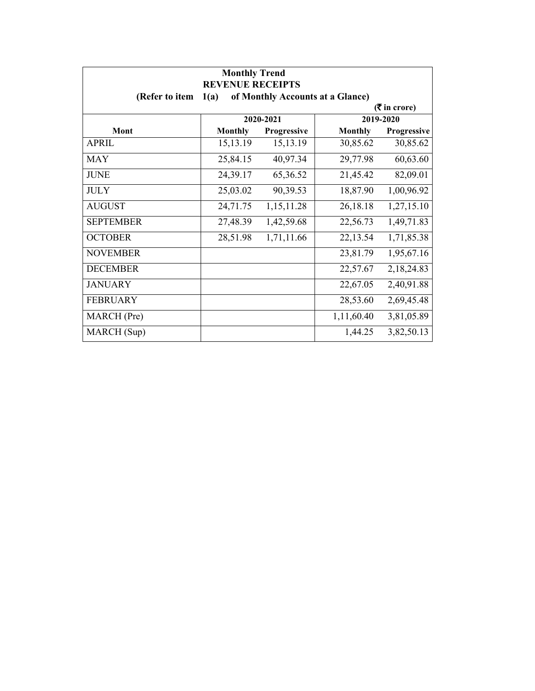| <b>Monthly Trend</b><br><b>REVENUE RECEIPTS</b> |                                          |             |                |                               |  |  |
|-------------------------------------------------|------------------------------------------|-------------|----------------|-------------------------------|--|--|
| (Refer to item                                  | of Monthly Accounts at a Glance)<br>1(a) |             |                |                               |  |  |
|                                                 |                                          |             |                | $(5 \text{ in } \text{core})$ |  |  |
|                                                 |                                          | 2020-2021   |                | 2019-2020                     |  |  |
| Mont                                            | <b>Monthly</b>                           | Progressive | <b>Monthly</b> | Progressive                   |  |  |
| APRIL                                           | 15, 13. 19                               | 15, 13. 19  | 30,85.62       | 30,85.62                      |  |  |
| <b>MAY</b>                                      | 25,84.15                                 | 40,97.34    | 29,77.98       | 60,63.60                      |  |  |
| <b>JUNE</b>                                     | 24,39.17                                 | 65,36.52    | 21,45.42       | 82,09.01                      |  |  |
| <b>JULY</b>                                     | 25,03.02                                 | 90,39.53    | 18,87.90       | 1,00,96.92                    |  |  |
| <b>AUGUST</b>                                   | 24,71.75                                 | 1,15,11.28  | 26,18.18       | 1,27,15.10                    |  |  |
| <b>SEPTEMBER</b>                                | 27,48.39                                 | 1,42,59.68  | 22,56.73       | 1,49,71.83                    |  |  |
| <b>OCTOBER</b>                                  | 28,51.98                                 | 1,71,11.66  | 22,13.54       | 1,71,85.38                    |  |  |
| <b>NOVEMBER</b>                                 |                                          |             | 23,81.79       | 1,95,67.16                    |  |  |
| <b>DECEMBER</b>                                 |                                          |             | 22,57.67       | 2,18,24.83                    |  |  |
| <b>JANUARY</b>                                  |                                          |             | 22,67.05       | 2,40,91.88                    |  |  |
| <b>FEBRUARY</b>                                 |                                          |             | 28,53.60       | 2,69,45.48                    |  |  |
| MARCH (Pre)                                     |                                          |             | 1,11,60.40     | 3,81,05.89                    |  |  |
| MARCH (Sup)                                     |                                          |             | 1,44.25        | 3,82,50.13                    |  |  |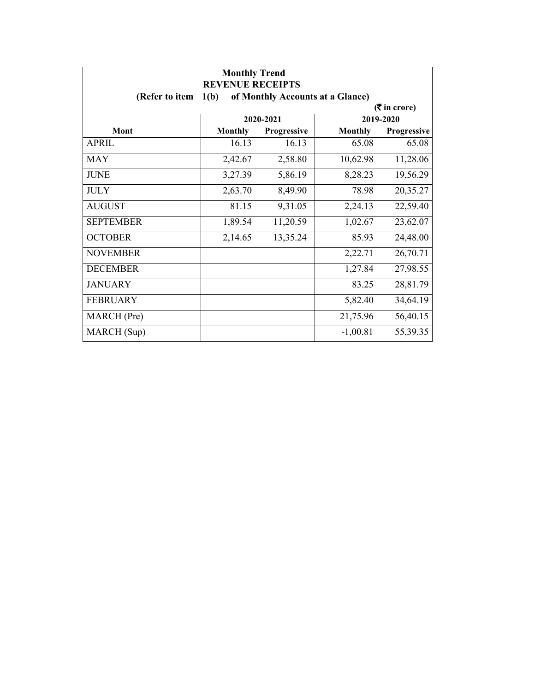| <b>Monthly Trend</b><br><b>REVENUE RECEIPTS</b> |                |             |                                  |             |
|-------------------------------------------------|----------------|-------------|----------------------------------|-------------|
| (Refer to item                                  | 1(b)           |             | of Monthly Accounts at a Glance) |             |
| $(5 \text{ in } \text{core})$                   |                |             |                                  |             |
|                                                 |                | 2020-2021   |                                  | 2019-2020   |
| Mont                                            | <b>Monthly</b> | Progressive | <b>Monthly</b>                   | Progressive |
| APRIL                                           | 16.13          | 16.13       | 65.08                            | 65.08       |
| <b>MAY</b>                                      | 2,42.67        | 2,58.80     | 10,62.98                         | 11,28.06    |
| <b>JUNE</b>                                     | 3,27.39        | 5,86.19     | 8,28.23                          | 19,56.29    |
| <b>JULY</b>                                     | 2,63.70        | 8,49.90     | 78.98                            | 20,35.27    |
| <b>AUGUST</b>                                   | 81.15          | 9,31.05     | 2,24.13                          | 22,59.40    |
| <b>SEPTEMBER</b>                                | 1,89.54        | 11,20.59    | 1,02.67                          | 23,62.07    |
| <b>OCTOBER</b>                                  | 2,14.65        | 13,35.24    | 85.93                            | 24,48.00    |
| <b>NOVEMBER</b>                                 |                |             | 2,22.71                          | 26,70.71    |
| <b>DECEMBER</b>                                 |                |             | 1,27.84                          | 27,98.55    |
| <b>JANUARY</b>                                  |                |             | 83.25                            | 28,81.79    |
| <b>FEBRUARY</b>                                 |                |             | 5,82.40                          | 34,64.19    |
| MARCH (Pre)                                     |                |             | 21,75.96                         | 56,40.15    |
| MARCH (Sup)                                     |                |             | $-1,00.81$                       | 55,39.35    |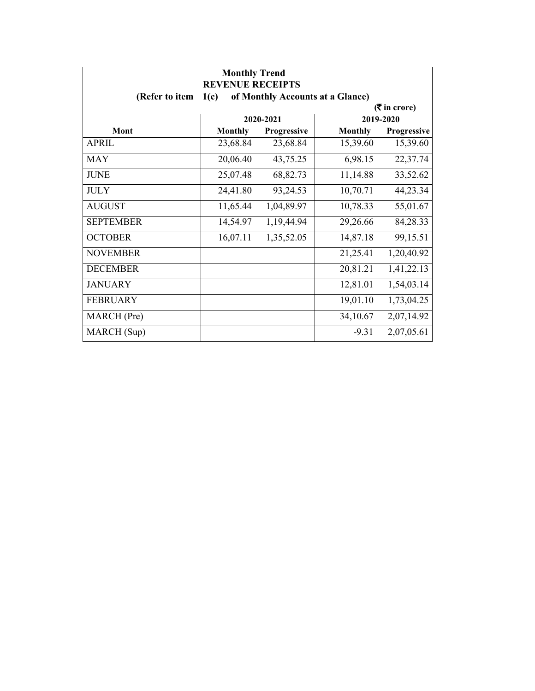| <b>Monthly Trend</b><br><b>REVENUE RECEIPTS</b>            |                |             |                |             |  |
|------------------------------------------------------------|----------------|-------------|----------------|-------------|--|
| (Refer to item<br>1(c)<br>of Monthly Accounts at a Glance) |                |             |                |             |  |
| $(5 \text{ in } \text{core})$                              |                |             |                |             |  |
|                                                            |                | 2020-2021   |                | 2019-2020   |  |
| Mont                                                       | <b>Monthly</b> | Progressive | <b>Monthly</b> | Progressive |  |
| APRIL                                                      | 23,68.84       | 23,68.84    | 15,39.60       | 15,39.60    |  |
| <b>MAY</b>                                                 | 20,06.40       | 43,75.25    | 6,98.15        | 22,37.74    |  |
| <b>JUNE</b>                                                | 25,07.48       | 68,82.73    | 11,14.88       | 33,52.62    |  |
| <b>JULY</b>                                                | 24,41.80       | 93,24.53    | 10,70.71       | 44,23.34    |  |
| <b>AUGUST</b>                                              | 11,65.44       | 1,04,89.97  | 10,78.33       | 55,01.67    |  |
| <b>SEPTEMBER</b>                                           | 14,54.97       | 1,19,44.94  | 29,26.66       | 84,28.33    |  |
| <b>OCTOBER</b>                                             | 16,07.11       | 1,35,52.05  | 14,87.18       | 99,15.51    |  |
| <b>NOVEMBER</b>                                            |                |             | 21,25.41       | 1,20,40.92  |  |
| <b>DECEMBER</b>                                            |                |             | 20,81.21       | 1,41,22.13  |  |
| <b>JANUARY</b>                                             |                |             | 12,81.01       | 1,54,03.14  |  |
| <b>FEBRUARY</b>                                            |                |             | 19,01.10       | 1,73,04.25  |  |
| MARCH (Pre)                                                |                |             | 34,10.67       | 2,07,14.92  |  |
| MARCH (Sup)                                                |                |             | $-9.31$        | 2,07,05.61  |  |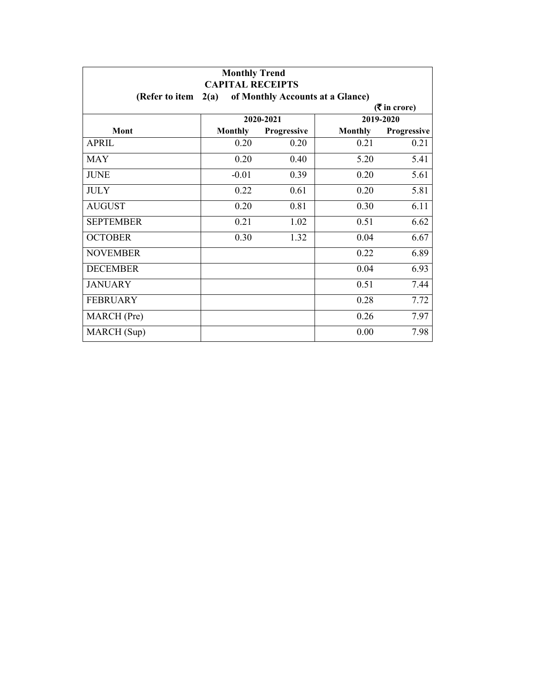| <b>Monthly Trend</b><br><b>CAPITAL RECEIPTS</b> |                |                    |                                  |             |
|-------------------------------------------------|----------------|--------------------|----------------------------------|-------------|
| (Refer to item                                  | 2(a)           |                    | of Monthly Accounts at a Glance) |             |
| $($ ₹ in crore)                                 |                |                    |                                  |             |
|                                                 |                | 2020-2021          |                                  | 2019-2020   |
| Mont                                            | <b>Monthly</b> | <b>Progressive</b> | <b>Monthly</b>                   | Progressive |
| <b>APRIL</b>                                    | 0.20           | 0.20               | 0.21                             | 0.21        |
| MAY                                             | 0.20           | 0.40               | 5.20                             | 5.41        |
| <b>JUNE</b>                                     | $-0.01$        | 0.39               | 0.20                             | 5.61        |
| <b>JULY</b>                                     | 0.22           | 0.61               | 0.20                             | 5.81        |
| <b>AUGUST</b>                                   | 0.20           | 0.81               | 0.30                             | 6.11        |
| <b>SEPTEMBER</b>                                | 0.21           | 1.02               | 0.51                             | 6.62        |
| <b>OCTOBER</b>                                  | 0.30           | 1.32               | 0.04                             | 6.67        |
| <b>NOVEMBER</b>                                 |                |                    | 0.22                             | 6.89        |
| <b>DECEMBER</b>                                 |                |                    | 0.04                             | 6.93        |
| <b>JANUARY</b>                                  |                |                    | 0.51                             | 7.44        |
| <b>FEBRUARY</b>                                 |                |                    | 0.28                             | 7.72        |
| MARCH (Pre)                                     |                |                    | 0.26                             | 7.97        |
| MARCH (Sup)                                     |                |                    | 0.00                             | 7.98        |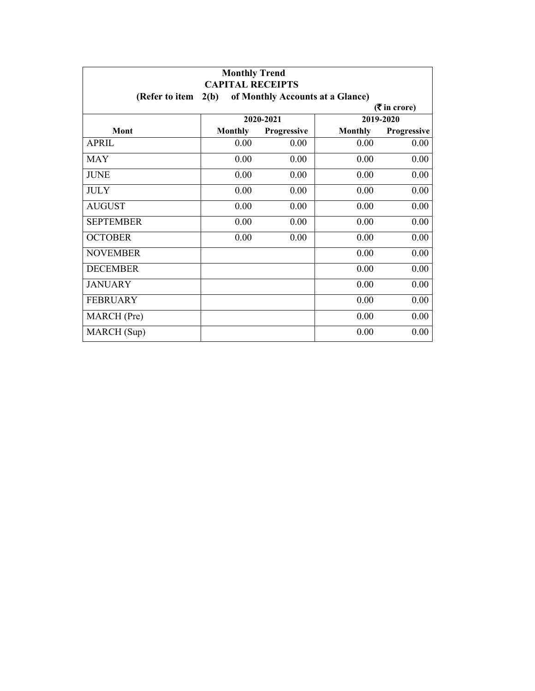| <b>Monthly Trend</b><br><b>CAPITAL RECEIPTS</b> |                |                    |                                  |             |
|-------------------------------------------------|----------------|--------------------|----------------------------------|-------------|
| (Refer to item                                  | 2(b)           |                    | of Monthly Accounts at a Glance) |             |
| $(3\overline{5})$ in crore)                     |                |                    |                                  |             |
|                                                 |                | 2020-2021          |                                  | 2019-2020   |
| Mont                                            | <b>Monthly</b> | <b>Progressive</b> | <b>Monthly</b>                   | Progressive |
| <b>APRIL</b>                                    | 0.00           | 0.00               | 0.00                             | 0.00        |
| MAY                                             | 0.00           | 0.00               | 0.00                             | 0.00        |
| <b>JUNE</b>                                     | 0.00           | 0.00               | 0.00                             | 0.00        |
| <b>JULY</b>                                     | 0.00           | 0.00               | 0.00                             | 0.00        |
| <b>AUGUST</b>                                   | 0.00           | 0.00               | 0.00                             | 0.00        |
| <b>SEPTEMBER</b>                                | 0.00           | 0.00               | 0.00                             | 0.00        |
| <b>OCTOBER</b>                                  | 0.00           | 0.00               | 0.00                             | 0.00        |
| <b>NOVEMBER</b>                                 |                |                    | 0.00                             | 0.00        |
| <b>DECEMBER</b>                                 |                |                    | 0.00                             | 0.00        |
| <b>JANUARY</b>                                  |                |                    | 0.00                             | 0.00        |
| <b>FEBRUARY</b>                                 |                |                    | 0.00                             | 0.00        |
| MARCH (Pre)                                     |                |                    | 0.00                             | 0.00        |
| MARCH (Sup)                                     |                |                    | 0.00                             | 0.00        |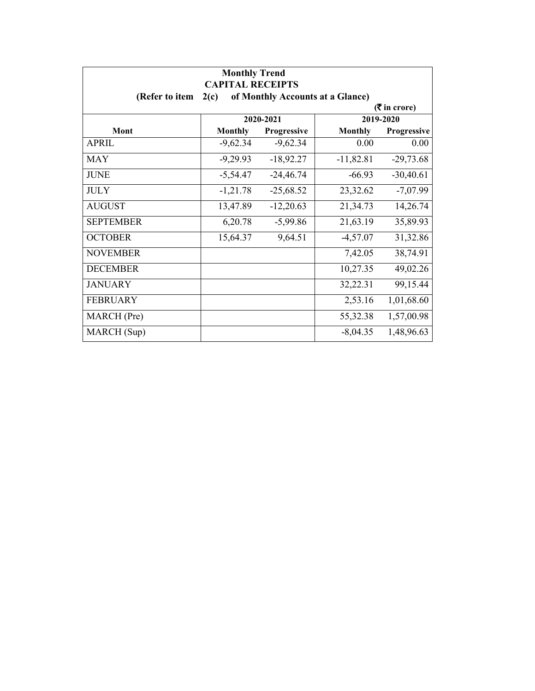| <b>Monthly Trend</b><br><b>CAPITAL RECEIPTS</b> |                             |                                  |                |             |  |
|-------------------------------------------------|-----------------------------|----------------------------------|----------------|-------------|--|
| (Refer to item                                  | 2(c)                        | of Monthly Accounts at a Glance) |                |             |  |
|                                                 | $(3\overline{5})$ in crore) |                                  |                |             |  |
|                                                 |                             | 2020-2021                        |                | 2019-2020   |  |
| Mont                                            | <b>Monthly</b>              | Progressive                      | <b>Monthly</b> | Progressive |  |
| <b>APRIL</b>                                    | $-9,62.34$                  | $-9,62.34$                       | 0.00           | 0.00        |  |
| <b>MAY</b>                                      | $-9,29.93$                  | $-18,92.27$                      | $-11,82.81$    | $-29,73.68$ |  |
| <b>JUNE</b>                                     | $-5,54.47$                  | $-24,46.74$                      | $-66.93$       | $-30,40.61$ |  |
| <b>JULY</b>                                     | $-1,21.78$                  | $-25,68.52$                      | 23,32.62       | $-7,07.99$  |  |
| <b>AUGUST</b>                                   | 13,47.89                    | $-12,20.63$                      | 21,34.73       | 14,26.74    |  |
| <b>SEPTEMBER</b>                                | 6,20.78                     | $-5,99.86$                       | 21,63.19       | 35,89.93    |  |
| <b>OCTOBER</b>                                  | 15,64.37                    | 9,64.51                          | $-4,57.07$     | 31,32.86    |  |
| <b>NOVEMBER</b>                                 |                             |                                  | 7,42.05        | 38,74.91    |  |
| <b>DECEMBER</b>                                 |                             |                                  | 10,27.35       | 49,02.26    |  |
| <b>JANUARY</b>                                  |                             |                                  | 32,22.31       | 99,15.44    |  |
| <b>FEBRUARY</b>                                 |                             |                                  | 2,53.16        | 1,01,68.60  |  |
| MARCH (Pre)                                     |                             |                                  | 55,32.38       | 1,57,00.98  |  |
| MARCH (Sup)                                     |                             |                                  | $-8,04.35$     | 1,48,96.63  |  |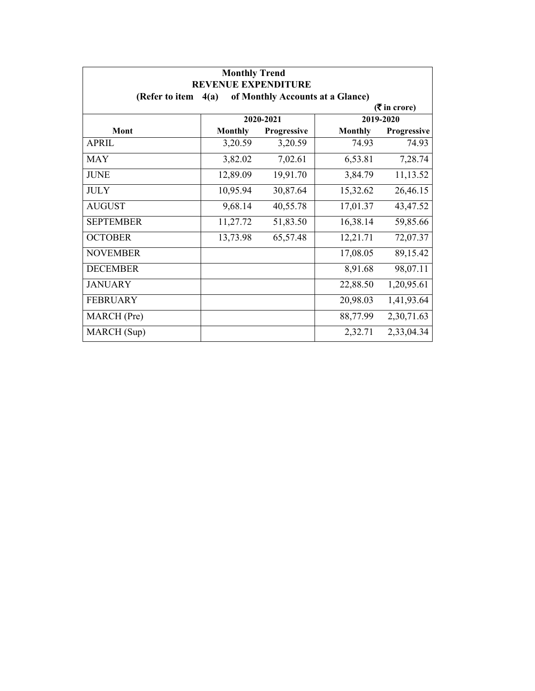| <b>Monthly Trend</b><br><b>REVENUE EXPENDITURE</b> |                |                                  |                |                             |
|----------------------------------------------------|----------------|----------------------------------|----------------|-----------------------------|
| (Refer to item                                     | 4(a)           | of Monthly Accounts at a Glance) |                |                             |
|                                                    |                |                                  |                | $(3\overline{5})$ in crore) |
|                                                    |                | 2020-2021                        |                | 2019-2020                   |
| Mont                                               | <b>Monthly</b> | <b>Progressive</b>               | <b>Monthly</b> | <b>Progressive</b>          |
| <b>APRIL</b>                                       | 3,20.59        | 3,20.59                          | 74.93          | 74.93                       |
| <b>MAY</b>                                         | 3,82.02        | 7,02.61                          | 6,53.81        | 7,28.74                     |
| <b>JUNE</b>                                        | 12,89.09       | 19,91.70                         | 3,84.79        | 11,13.52                    |
| <b>JULY</b>                                        | 10,95.94       | 30,87.64                         | 15,32.62       | 26,46.15                    |
| <b>AUGUST</b>                                      | 9,68.14        | 40,55.78                         | 17,01.37       | 43,47.52                    |
| <b>SEPTEMBER</b>                                   | 11,27.72       | 51,83.50                         | 16,38.14       | 59,85.66                    |
| <b>OCTOBER</b>                                     | 13,73.98       | 65,57.48                         | 12,21.71       | 72,07.37                    |
| <b>NOVEMBER</b>                                    |                |                                  | 17,08.05       | 89,15.42                    |
| <b>DECEMBER</b>                                    |                |                                  | 8,91.68        | 98,07.11                    |
| <b>JANUARY</b>                                     |                |                                  | 22,88.50       | 1,20,95.61                  |
| <b>FEBRUARY</b>                                    |                |                                  | 20,98.03       | 1,41,93.64                  |
| MARCH (Pre)                                        |                |                                  | 88,77.99       | 2,30,71.63                  |
| MARCH (Sup)                                        |                |                                  | 2,32.71        | 2,33,04.34                  |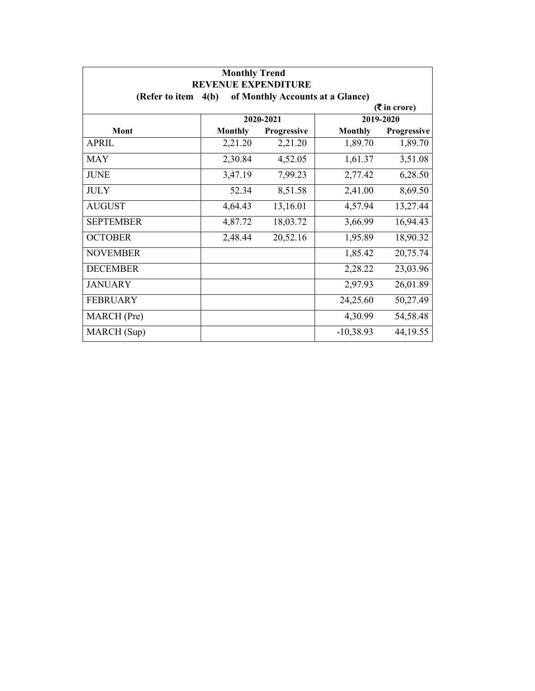| <b>Monthly Trend</b><br><b>REVENUE EXPENDITURE</b> |                |             |                                  |                             |
|----------------------------------------------------|----------------|-------------|----------------------------------|-----------------------------|
| (Refer to item $4(b)$ )                            |                |             | of Monthly Accounts at a Glance) |                             |
|                                                    |                |             |                                  | $(3\overline{5})$ in crore) |
|                                                    |                | 2020-2021   |                                  | 2019-2020                   |
| Mont                                               | <b>Monthly</b> | Progressive | <b>Monthly</b>                   | Progressive                 |
| <b>APRIL</b>                                       | 2,21.20        | 2,21.20     | 1,89.70                          | 1,89.70                     |
| <b>MAY</b>                                         | 2,30.84        | 4,52.05     | 1,61.37                          | 3,51.08                     |
| <b>JUNE</b>                                        | 3,47.19        | 7,99.23     | 2,77.42                          | 6,28.50                     |
| <b>JULY</b>                                        | 52.34          | 8,51.58     | 2,41.00                          | 8,69.50                     |
| <b>AUGUST</b>                                      | 4,64.43        | 13,16.01    | 4,57.94                          | 13,27.44                    |
| <b>SEPTEMBER</b>                                   | 4,87.72        | 18,03.72    | 3,66.99                          | 16,94.43                    |
| <b>OCTOBER</b>                                     | 2,48.44        | 20,52.16    | 1,95.89                          | 18,90.32                    |
| <b>NOVEMBER</b>                                    |                |             | 1,85.42                          | 20,75.74                    |
| <b>DECEMBER</b>                                    |                |             | 2,28.22                          | 23,03.96                    |
| <b>JANUARY</b>                                     |                |             | 2,97.93                          | 26,01.89                    |
| <b>FEBRUARY</b>                                    |                |             | 24,25.60                         | 50,27.49                    |
| MARCH (Pre)                                        |                |             | 4,30.99                          | 54,58.48                    |
| MARCH (Sup)                                        |                |             | $-10,38.93$                      | 44, 19.55                   |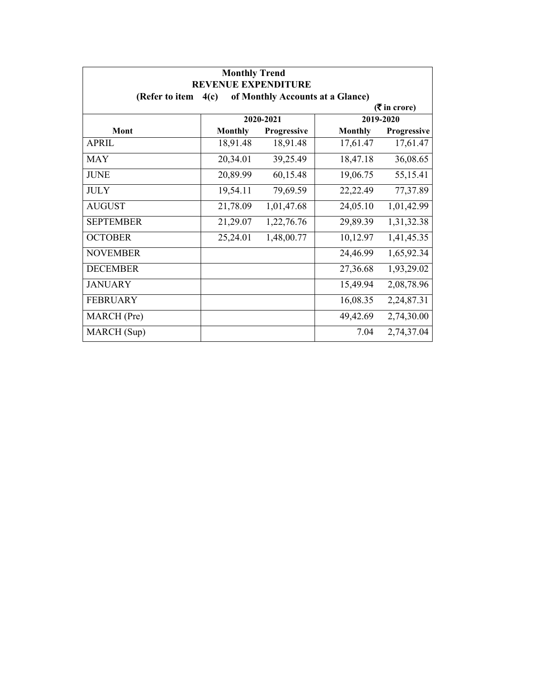| <b>Monthly Trend</b><br><b>REVENUE EXPENDITURE</b> |                |             |                                  |                             |
|----------------------------------------------------|----------------|-------------|----------------------------------|-----------------------------|
| (Refer to item                                     | 4(c)           |             | of Monthly Accounts at a Glance) |                             |
|                                                    |                |             |                                  | $(3\overline{5})$ in crore) |
|                                                    |                | 2020-2021   |                                  | 2019-2020                   |
| Mont                                               | <b>Monthly</b> | Progressive | <b>Monthly</b>                   | Progressive                 |
| <b>APRIL</b>                                       | 18,91.48       | 18,91.48    | 17,61.47                         | 17,61.47                    |
| <b>MAY</b>                                         | 20,34.01       | 39,25.49    | 18,47.18                         | 36,08.65                    |
| <b>JUNE</b>                                        | 20,89.99       | 60,15.48    | 19,06.75                         | 55,15.41                    |
| <b>JULY</b>                                        | 19,54.11       | 79,69.59    | 22,22.49                         | 77,37.89                    |
| <b>AUGUST</b>                                      | 21,78.09       | 1,01,47.68  | 24,05.10                         | 1,01,42.99                  |
| <b>SEPTEMBER</b>                                   | 21,29.07       | 1,22,76.76  | 29,89.39                         | 1,31,32.38                  |
| <b>OCTOBER</b>                                     | 25,24.01       | 1,48,00.77  | 10,12.97                         | 1,41,45.35                  |
| <b>NOVEMBER</b>                                    |                |             | 24,46.99                         | 1,65,92.34                  |
| <b>DECEMBER</b>                                    |                |             | 27,36.68                         | 1,93,29.02                  |
| <b>JANUARY</b>                                     |                |             | 15,49.94                         | 2,08,78.96                  |
| <b>FEBRUARY</b>                                    |                |             | 16,08.35                         | 2,24,87.31                  |
| MARCH (Pre)                                        |                |             | 49,42.69                         | 2,74,30.00                  |
| MARCH (Sup)                                        |                |             | 7.04                             | 2,74,37.04                  |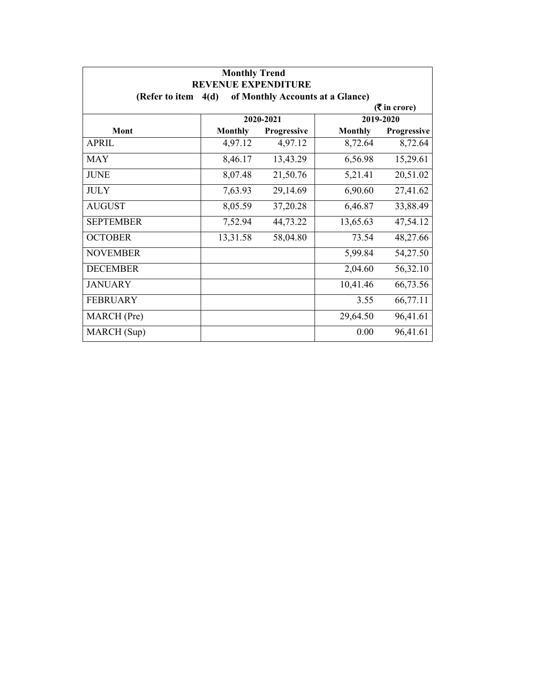| <b>Monthly Trend</b><br><b>REVENUE EXPENDITURE</b> |                |                                  |                |                             |
|----------------------------------------------------|----------------|----------------------------------|----------------|-----------------------------|
| (Refer to item $4(d)$                              |                | of Monthly Accounts at a Glance) |                |                             |
|                                                    |                |                                  |                | $(3\overline{5})$ in crore) |
|                                                    |                | 2020-2021                        |                | 2019-2020                   |
| Mont                                               | <b>Monthly</b> | Progressive                      | <b>Monthly</b> | Progressive                 |
| APRIL                                              | 4,97.12        | 4,97.12                          | 8,72.64        | 8,72.64                     |
| <b>MAY</b>                                         | 8,46.17        | 13,43.29                         | 6,56.98        | 15,29.61                    |
| <b>JUNE</b>                                        | 8,07.48        | 21,50.76                         | 5,21.41        | 20,51.02                    |
| <b>JULY</b>                                        | 7,63.93        | 29,14.69                         | 6,90.60        | 27,41.62                    |
| <b>AUGUST</b>                                      | 8,05.59        | 37,20.28                         | 6,46.87        | 33,88.49                    |
| <b>SEPTEMBER</b>                                   | 7,52.94        | 44,73.22                         | 13,65.63       | 47,54.12                    |
| <b>OCTOBER</b>                                     | 13,31.58       | 58,04.80                         | 73.54          | 48,27.66                    |
| <b>NOVEMBER</b>                                    |                |                                  | 5,99.84        | 54,27.50                    |
| <b>DECEMBER</b>                                    |                |                                  | 2,04.60        | 56,32.10                    |
| <b>JANUARY</b>                                     |                |                                  | 10,41.46       | 66,73.56                    |
| <b>FEBRUARY</b>                                    |                |                                  | 3.55           | 66,77.11                    |
| MARCH (Pre)                                        |                |                                  | 29,64.50       | 96,41.61                    |
| MARCH (Sup)                                        |                |                                  | 0.00           | 96,41.61                    |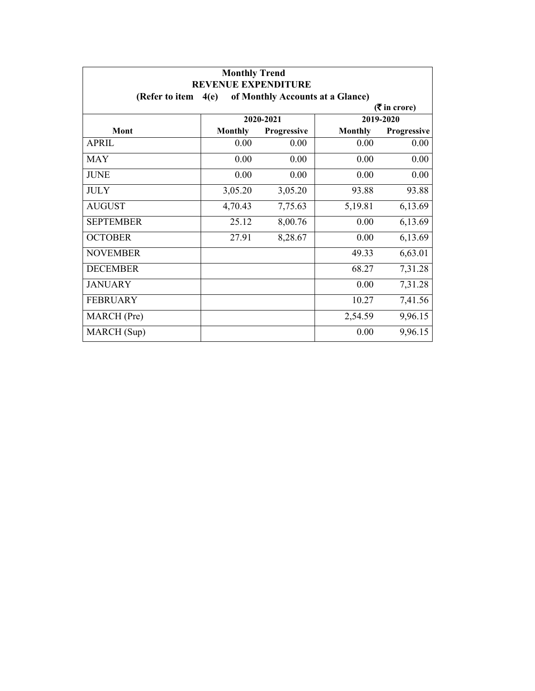| <b>Monthly Trend</b><br><b>REVENUE EXPENDITURE</b> |                |                                  |                |                             |
|----------------------------------------------------|----------------|----------------------------------|----------------|-----------------------------|
| (Refer to item                                     | 4(e)           | of Monthly Accounts at a Glance) |                |                             |
|                                                    |                |                                  |                | $(3\overline{5})$ in crore) |
|                                                    |                | 2020-2021                        |                | 2019-2020                   |
| Mont                                               | <b>Monthly</b> | <b>Progressive</b>               | <b>Monthly</b> | Progressive                 |
| <b>APRIL</b>                                       | 0.00           | 0.00                             | 0.00           | 0.00                        |
| MAY                                                | 0.00           | 0.00                             | 0.00           | 0.00                        |
| <b>JUNE</b>                                        | 0.00           | 0.00                             | 0.00           | 0.00                        |
| <b>JULY</b>                                        | 3,05.20        | 3,05.20                          | 93.88          | 93.88                       |
| <b>AUGUST</b>                                      | 4,70.43        | 7,75.63                          | 5,19.81        | 6,13.69                     |
| <b>SEPTEMBER</b>                                   | 25.12          | 8,00.76                          | 0.00           | 6,13.69                     |
| <b>OCTOBER</b>                                     | 27.91          | 8,28.67                          | 0.00           | 6,13.69                     |
| <b>NOVEMBER</b>                                    |                |                                  | 49.33          | 6,63.01                     |
| <b>DECEMBER</b>                                    |                |                                  | 68.27          | 7,31.28                     |
| <b>JANUARY</b>                                     |                |                                  | 0.00           | 7,31.28                     |
| <b>FEBRUARY</b>                                    |                |                                  | 10.27          | 7,41.56                     |
| MARCH (Pre)                                        |                |                                  | 2,54.59        | 9,96.15                     |
| MARCH (Sup)                                        |                |                                  | 0.00           | 9,96.15                     |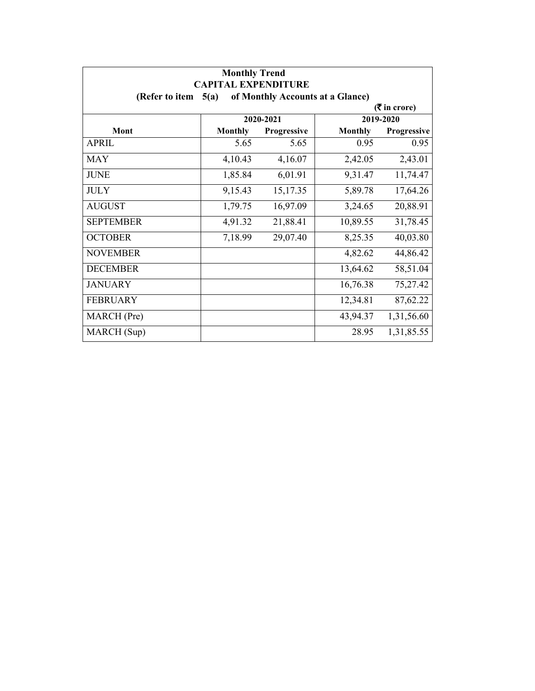| <b>Monthly Trend</b><br><b>CAPITAL EXPENDITURE</b>         |                |             |                |             |  |  |  |
|------------------------------------------------------------|----------------|-------------|----------------|-------------|--|--|--|
| (Refer to item<br>of Monthly Accounts at a Glance)<br>5(a) |                |             |                |             |  |  |  |
| $($ ₹ in crore)                                            |                |             |                |             |  |  |  |
|                                                            | 2020-2021      |             | 2019-2020      |             |  |  |  |
| Mont                                                       | <b>Monthly</b> | Progressive | <b>Monthly</b> | Progressive |  |  |  |
| APRIL                                                      | 5.65           | 5.65        | 0.95           | 0.95        |  |  |  |
| <b>MAY</b>                                                 | 4,10.43        | 4,16.07     | 2,42.05        | 2,43.01     |  |  |  |
| <b>JUNE</b>                                                | 1,85.84        | 6,01.91     | 9,31.47        | 11,74.47    |  |  |  |
| <b>JULY</b>                                                | 9,15.43        | 15,17.35    | 5,89.78        | 17,64.26    |  |  |  |
| <b>AUGUST</b>                                              | 1,79.75        | 16,97.09    | 3,24.65        | 20,88.91    |  |  |  |
| <b>SEPTEMBER</b>                                           | 4,91.32        | 21,88.41    | 10,89.55       | 31,78.45    |  |  |  |
| <b>OCTOBER</b>                                             | 7,18.99        | 29,07.40    | 8,25.35        | 40,03.80    |  |  |  |
| <b>NOVEMBER</b>                                            |                |             | 4,82.62        | 44,86.42    |  |  |  |
| <b>DECEMBER</b>                                            |                |             | 13,64.62       | 58,51.04    |  |  |  |
| <b>JANUARY</b>                                             |                |             | 16,76.38       | 75,27.42    |  |  |  |
| <b>FEBRUARY</b>                                            |                |             | 12,34.81       | 87,62.22    |  |  |  |
| MARCH (Pre)                                                |                |             | 43,94.37       | 1,31,56.60  |  |  |  |
| MARCH (Sup)                                                |                |             | 28.95          | 1,31,85.55  |  |  |  |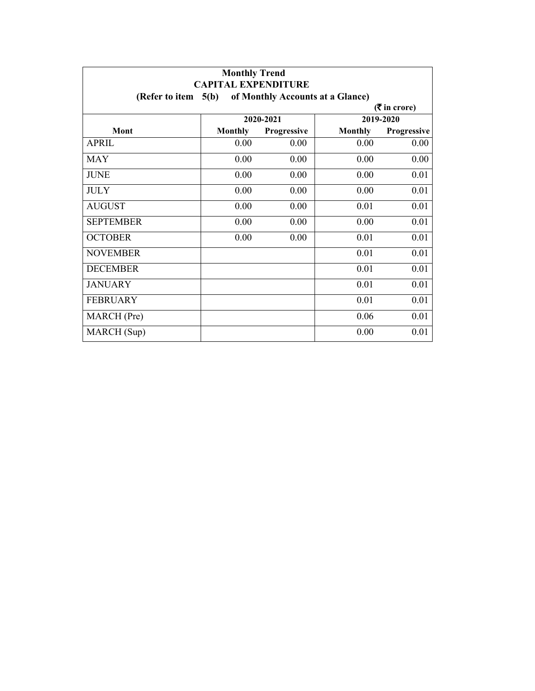| <b>Monthly Trend</b><br><b>CAPITAL EXPENDITURE</b>         |                |             |                |             |  |  |  |
|------------------------------------------------------------|----------------|-------------|----------------|-------------|--|--|--|
| 5(b)<br>of Monthly Accounts at a Glance)<br>(Refer to item |                |             |                |             |  |  |  |
| $($ ₹ in crore)                                            |                |             |                |             |  |  |  |
|                                                            | 2020-2021      |             | 2019-2020      |             |  |  |  |
| Mont                                                       | <b>Monthly</b> | Progressive | <b>Monthly</b> | Progressive |  |  |  |
| <b>APRIL</b>                                               | 0.00           | 0.00        | 0.00           | 0.00        |  |  |  |
| <b>MAY</b>                                                 | 0.00           | 0.00        | 0.00           | 0.00        |  |  |  |
| <b>JUNE</b>                                                | 0.00           | 0.00        | 0.00           | 0.01        |  |  |  |
| <b>JULY</b>                                                | 0.00           | 0.00        | 0.00           | 0.01        |  |  |  |
| <b>AUGUST</b>                                              | 0.00           | 0.00        | 0.01           | 0.01        |  |  |  |
| <b>SEPTEMBER</b>                                           | 0.00           | 0.00        | 0.00           | 0.01        |  |  |  |
| <b>OCTOBER</b>                                             | 0.00           | 0.00        | 0.01           | 0.01        |  |  |  |
| <b>NOVEMBER</b>                                            |                |             | 0.01           | 0.01        |  |  |  |
| <b>DECEMBER</b>                                            |                |             | 0.01           | 0.01        |  |  |  |
| <b>JANUARY</b>                                             |                |             | 0.01           | 0.01        |  |  |  |
| <b>FEBRUARY</b>                                            |                |             | 0.01           | 0.01        |  |  |  |
| MARCH (Pre)                                                |                |             | 0.06           | 0.01        |  |  |  |
| MARCH (Sup)                                                |                |             | 0.00           | 0.01        |  |  |  |